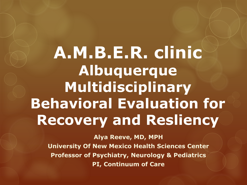**A.M.B.E.R. clinic Albuquerque Multidisciplinary Behavioral Evaluation for Recovery and Resliency**

**Alya Reeve, MD, MPH University Of New Mexico Health Sciences Center Professor of Psychiatry, Neurology & Pediatrics PI, Continuum of Care**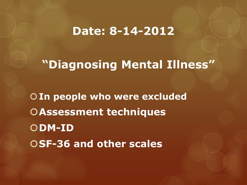#### **Date: 8-14-2012**

#### **"Diagnosing Mental Illness"**

**In people who were excluded Assessment techniques DM-ID OSF-36 and other scales**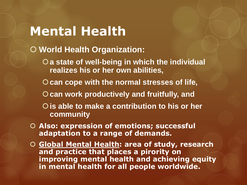#### **Mental Health**

- **World Health Organization:** 
	- **a state of well-being in which the individual realizes his or her own abilities,**
	- **can cope with the normal stresses of life,**
	- **can work productively and fruitfully, and**
	- **is able to make a contribution to his or her community**
- **Also: expression of emotions; successful adaptation to a range of demands.**
- **Global Mental Health: area of study, research and practice that places a pirority on improving mental health and achieving equity in mental health for all people worldwide.**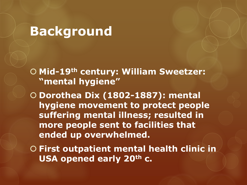#### **Background**

 **Mid-19th century: William Sweetzer: "mental hygiene"** 

- **Dorothea Dix (1802-1887): mental hygiene movement to protect people suffering mental illness; resulted in more people sent to facilities that ended up overwhelmed.**
- **First outpatient mental health clinic in USA opened early 20th c.**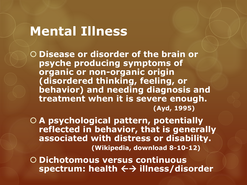#### **Mental Illness**

 **Disease or disorder of the brain or psyche producing symptoms of organic or non-organic origin (disordered thinking, feeling, or behavior) and needing diagnosis and treatment when it is severe enough. (Ayd, 1995)**

 **A psychological pattern, potentially reflected in behavior, that is generally associated with distress or disability. (Wikipedia, download 8-10-12)**

 **Dichotomous versus continuous spectrum: health illness/disorder**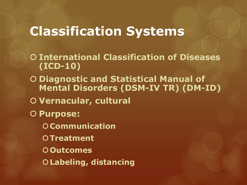#### **Classification Systems**

- **International Classification of Diseases (ICD-10)**
- **Diagnostic and Statistical Manual of Mental Disorders (DSM-IV TR) (DM-ID)**
- **Vernacular, cultural**
- **Purpose:**
	- **Communication**
	- **Treatment**
	- **Outcomes**
	- **Labeling, distancing**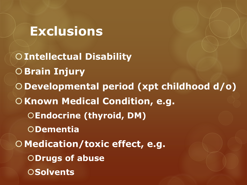#### **Exclusions**

**Intellectual Disability Brain Injury Developmental period (xpt childhood d/o) O Known Medical Condition, e.g. Endocrine (thyroid, DM) Dementia Medication/toxic effect, e.g. Drugs of abuse OSolvents**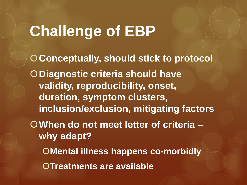# **Challenge of EBP**

**Conceptually, should stick to protocol Diagnostic criteria should have validity, reproducibility, onset, duration, symptom clusters, inclusion/exclusion, mitigating factors When do not meet letter of criteria – why adapt? Mental illness happens co-morbidly OTreatments are available**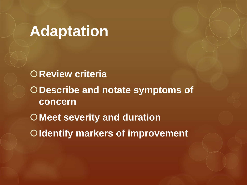# **Adaptation**

**O Review criteria Describe and notate symptoms of concern O Meet severity and duration Identify markers of improvement**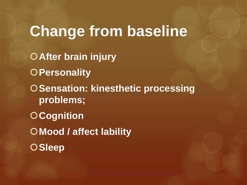# **Change from baseline**

**After brain injury OPersonality O Sensation: kinesthetic processing problems; Cognition Mood / affect lability Sleep**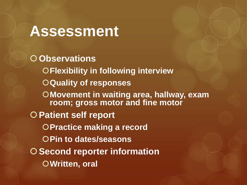## **Assessment**

**Observations Flexibility in following interview Quality of responses Movement in waiting area, hallway, exam room; gross motor and fine motor Patient self report Practice making a record Pin to dates/seasons O Second reporter information Written, oral**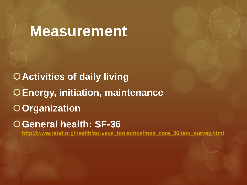# **Measurement**

**Activities of daily living Energy, initiation, maintenance Organization General health: SF-36** 

**[http://www.rand.org/health/surveys\\_tools/mos/mos\\_core\\_36item\\_survey.html](http://www.rand.org/health/surveys_tools/mos/mos_core_36item_survey.html)**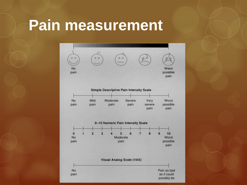## **Pain measurement**

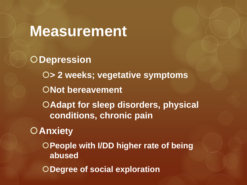## **Measurement**

**Depression > 2 weeks; vegetative symptoms ONot bereavement Adapt for sleep disorders, physical conditions, chronic pain Anxiety People with I/DD higher rate of being abused Degree of social exploration**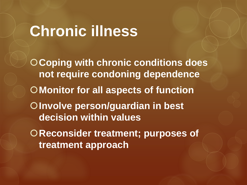# **Chronic illness**

**Coping with chronic conditions does not require condoning dependence Monitor for all aspects of function Involve person/guardian in best decision within values OReconsider treatment; purposes of treatment approach**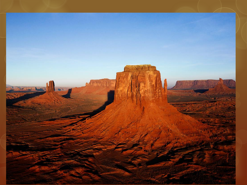